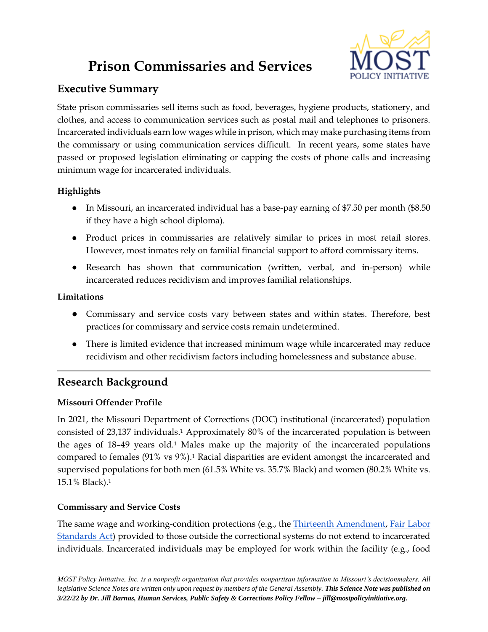# **Prison Commissaries and Services**



## **Executive Summary**

State prison commissaries sell items such as food, beverages, hygiene products, stationery, and clothes, and access to communication services such as postal mail and telephones to prisoners. Incarcerated individuals earn low wages while in prison, which may make purchasing items from the commissary or using communication services difficult. In recent years, some states have passed or proposed legislation eliminating or capping the costs of phone calls and increasing minimum wage for incarcerated individuals.

## **Highlights**

- In Missouri, an incarcerated individual has a base-pay earning of \$7.50 per month (\$8.50) if they have a high school diploma).
- Product prices in commissaries are relatively similar to prices in most retail stores. However, most inmates rely on familial financial support to afford commissary items.
- Research has shown that communication (written, verbal, and in-person) while incarcerated reduces recidivism and improves familial relationships.

#### **Limitations**

- Commissary and service costs vary between states and within states. Therefore, best practices for commissary and service costs remain undetermined.
- There is limited evidence that increased minimum wage while incarcerated may reduce recidivism and other recidivism factors including homelessness and substance abuse.

## **Research Background**

## **Missouri Offender Profile**

In 2021, the Missouri Department of Corrections (DOC) institutional (incarcerated) population consisted of 23,137 individuals.<sup>1</sup> Approximately 80% of the incarcerated population is between the ages of 18–49 years old.<sup>1</sup> Males make up the majority of the incarcerated populations compared to females (91% vs 9%).<sup>1</sup> Racial disparities are evident amongst the incarcerated and supervised populations for both men (61.5% White vs. 35.7% Black) and women (80.2% White vs. 15.1% Black).<sup>1</sup>

## **Commissary and Service Costs**

The same wage and working-condition protections (e.g., the [Thirteenth Amendment,](https://constitution.congress.gov/constitution/amendment-13/) [Fair Labor](https://www.dol.gov/sites/dolgov/files/WHD/legacy/files/FairLaborStandAct.pdf)  [Standards Act\)](https://www.dol.gov/sites/dolgov/files/WHD/legacy/files/FairLaborStandAct.pdf) provided to those outside the correctional systems do not extend to incarcerated individuals. Incarcerated individuals may be employed for work within the facility (e.g., food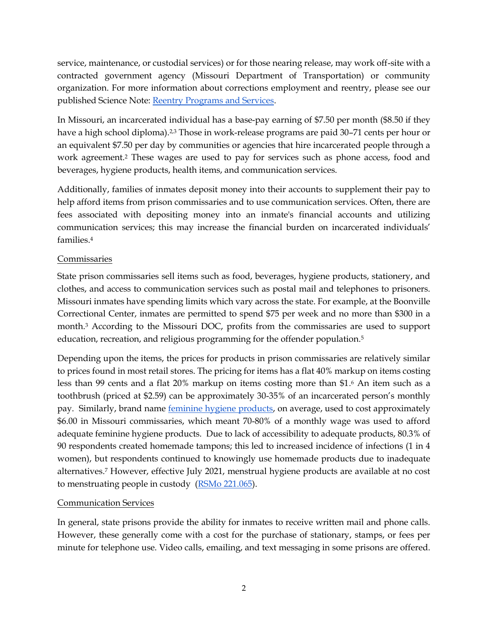service, maintenance, or custodial services) or for those nearing release, may work off-site with a contracted government agency (Missouri Department of Transportation) or community organization. For more information about corrections employment and reentry, please see our published Science Note: [Reentry Programs and Services.](https://mostpolicyinitiative.org/science-note/reentry-programs-and-services/)

In Missouri, an incarcerated individual has a base-pay earning of \$7.50 per month (\$8.50 if they have a high school diploma).<sup>2,3</sup> Those in work-release programs are paid 30–71 cents per hour or an equivalent \$7.50 per day by communities or agencies that hire incarcerated people through a work agreement.<sup>2</sup> These wages are used to pay for services such as phone access, food and beverages, hygiene products, health items, and communication services.

Additionally, families of inmates deposit money into their accounts to supplement their pay to help afford items from prison commissaries and to use communication services. Often, there are fees associated with depositing money into an inmate's financial accounts and utilizing communication services; this may increase the financial burden on incarcerated individuals' families.<sup>4</sup>

#### Commissaries

State prison commissaries sell items such as food, beverages, hygiene products, stationery, and clothes, and access to communication services such as postal mail and telephones to prisoners. Missouri inmates have spending limits which vary across the state. For example, at the Boonville Correctional Center, inmates are permitted to spend \$75 per week and no more than \$300 in a month.<sup>3</sup> According to the Missouri DOC, profits from the commissaries are used to support education, recreation, and religious programming for the offender population.<sup>5</sup>

Depending upon the items, the prices for products in prison commissaries are relatively similar to prices found in most retail stores. The pricing for items has a flat 40% markup on items costing less than 99 cents and a flat 20% markup on items costing more than \$1. <sup>6</sup> An item such as a toothbrush (priced at \$2.59) can be approximately 30-35% of an incarcerated person's monthly pay. Similarly, brand name [feminine hygiene products,](https://mostpolicyinitiative.org/science-note/feminine-hygiene-products-and-prisons/) on average, used to cost approximately \$6.00 in Missouri commissaries, which meant 70-80% of a monthly wage was used to afford adequate feminine hygiene products. Due to lack of accessibility to adequate products, 80.3% of 90 respondents created homemade tampons; this led to increased incidence of infections (1 in 4 women), but respondents continued to knowingly use homemade products due to inadequate alternatives.<sup>7</sup> However, effective July 2021, menstrual hygiene products are available at no cost to menstruating people in custody [\(RSMo 221.065\)](https://revisor.mo.gov/main/OneSection.aspx?section=221.065).

#### Communication Services

In general, state prisons provide the ability for inmates to receive written mail and phone calls. However, these generally come with a cost for the purchase of stationary, stamps, or fees per minute for telephone use. Video calls, emailing, and text messaging in some prisons are offered.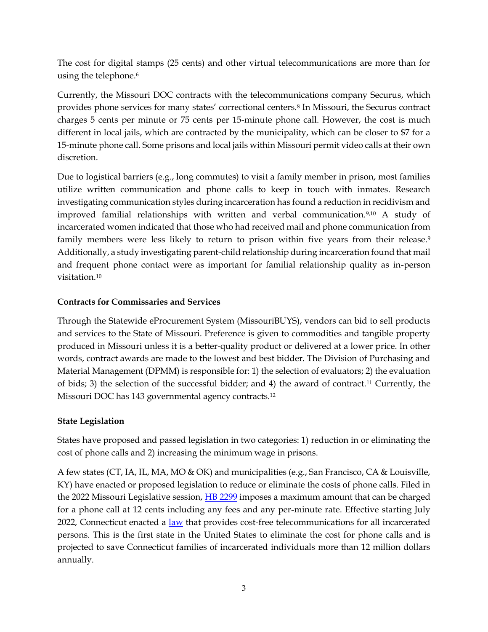The cost for digital stamps (25 cents) and other virtual telecommunications are more than for using the telephone.<sup>6</sup>

Currently, the Missouri DOC contracts with the telecommunications company Securus, which provides phone services for many states' correctional centers.<sup>8</sup> In Missouri, the Securus contract charges 5 cents per minute or 75 cents per 15-minute phone call. However, the cost is much different in local jails, which are contracted by the municipality, which can be closer to \$7 for a 15-minute phone call. Some prisons and local jails within Missouri permit video calls at their own discretion.

Due to logistical barriers (e.g., long commutes) to visit a family member in prison, most families utilize written communication and phone calls to keep in touch with inmates. Research investigating communication styles during incarceration has found a reduction in recidivism and improved familial relationships with written and verbal communication.9,10 A study of incarcerated women indicated that those who had received mail and phone communication from family members were less likely to return to prison within five years from their release.<sup>9</sup> Additionally, a study investigating parent-child relationship during incarceration found that mail and frequent phone contact were as important for familial relationship quality as in-person visitation.<sup>10</sup>

#### **Contracts for Commissaries and Services**

Through the Statewide eProcurement System (MissouriBUYS), vendors can bid to sell products and services to the State of Missouri. Preference is given to commodities and tangible property produced in Missouri unless it is a better-quality product or delivered at a lower price. In other words, contract awards are made to the lowest and best bidder. The Division of Purchasing and Material Management (DPMM) is responsible for: 1) the selection of evaluators; 2) the evaluation of bids; 3) the selection of the successful bidder; and 4) the award of contract.<sup>11</sup> Currently, the Missouri DOC has 143 governmental agency contracts.<sup>12</sup>

#### **State Legislation**

States have proposed and passed legislation in two categories: 1) reduction in or eliminating the cost of phone calls and 2) increasing the minimum wage in prisons.

A few states (CT, IA, IL, MA, MO & OK) and municipalities (e.g., San Francisco, CA & Louisville, KY) have enacted or proposed legislation to reduce or eliminate the costs of phone calls. Filed in the 2022 Missouri Legislative session, [HB 2299](https://house.mo.gov/Bill.aspx?bill=HB2299&year=2022&code=R) imposes a maximum amount that can be charged for a phone call at 12 cents including any fees and any per-minute rate. Effective starting July 2022, Connecticut enacted a [law](https://www.cga.ct.gov/asp/cgabillstatus/cgabillstatus.asp?selBillType=Bill&bill_num=SB972&which_year=2021) that provides cost-free telecommunications for all incarcerated persons. This is the first state in the United States to eliminate the cost for phone calls and is projected to save Connecticut families of incarcerated individuals more than 12 million dollars annually.